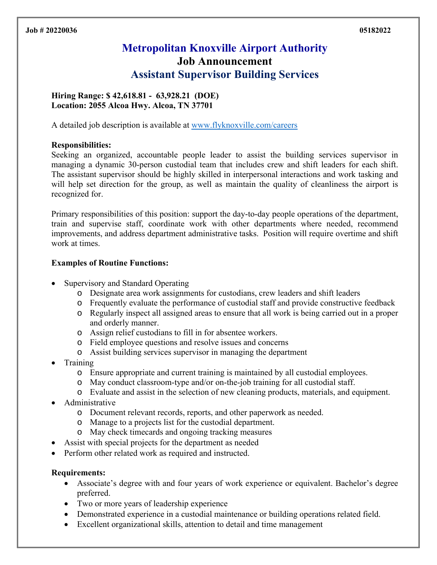# **Metropolitan Knoxville Airport Authority Job Announcement Assistant Supervisor Building Services**

## **Hiring Range: \$ 42,618.81 - 63,928.21 (DOE) Location: 2055 Alcoa Hwy. Alcoa, TN 37701**

A detailed job description is available at www.flyknoxville.com/careers

### **Responsibilities:**

Seeking an organized, accountable people leader to assist the building services supervisor in managing a dynamic 30-person custodial team that includes crew and shift leaders for each shift. The assistant supervisor should be highly skilled in interpersonal interactions and work tasking and will help set direction for the group, as well as maintain the quality of cleanliness the airport is recognized for.

Primary responsibilities of this position: support the day-to-day people operations of the department, train and supervise staff, coordinate work with other departments where needed, recommend improvements, and address department administrative tasks. Position will require overtime and shift work at times.

### **Examples of Routine Functions:**

- Supervisory and Standard Operating
	- o Designate area work assignments for custodians, crew leaders and shift leaders
	- o Frequently evaluate the performance of custodial staff and provide constructive feedback
	- o Regularly inspect all assigned areas to ensure that all work is being carried out in a proper and orderly manner.
	- o Assign relief custodians to fill in for absentee workers.
	- o Field employee questions and resolve issues and concerns
	- o Assist building services supervisor in managing the department
- Training
	- o Ensure appropriate and current training is maintained by all custodial employees.
	- o May conduct classroom-type and/or on-the-job training for all custodial staff.
	- o Evaluate and assist in the selection of new cleaning products, materials, and equipment.
- Administrative
	- o Document relevant records, reports, and other paperwork as needed.
	- o Manage to a projects list for the custodial department.
	- o May check timecards and ongoing tracking measures
- Assist with special projects for the department as needed
- Perform other related work as required and instructed.

#### **Requirements:**

- Associate's degree with and four years of work experience or equivalent. Bachelor's degree preferred.
- Two or more years of leadership experience
- Demonstrated experience in a custodial maintenance or building operations related field.
- Excellent organizational skills, attention to detail and time management